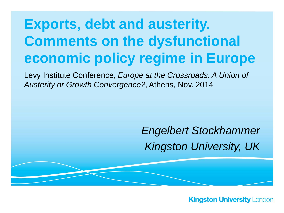## **Exports, debt and austerity. Comments on the dysfunctional economic policy regime in Europe**

Levy Institute Conference, *Europe at the Crossroads: A Union of Austerity or Growth Convergence?*, Athens, Nov. 2014

### *Engelbert Stockhammer Kingston University, UK*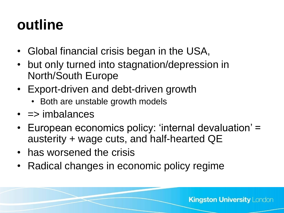# **outline**

- Global financial crisis began in the USA,
- but only turned into stagnation/depression in North/South Europe
- Export-driven and debt-driven growth
	- Both are unstable growth models
- $\cdot$  => imbalances
- European economics policy: 'internal devaluation' = austerity + wage cuts, and half-hearted QE
- has worsened the crisis
- Radical changes in economic policy regime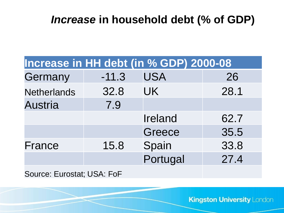### *Increase* **in household debt (% of GDP)**

| Increase in HH debt (in % GDP) 2000-08 |         |            |      |
|----------------------------------------|---------|------------|------|
| Germany                                | $-11.3$ | <b>USA</b> | 26   |
| <b>Netherlands</b>                     | 32.8    | <b>UK</b>  | 28.1 |
| <b>Austria</b>                         | 7.9     |            |      |
|                                        |         | Ireland    | 62.7 |
|                                        |         | Greece     | 35.5 |
| France                                 | 15.8    | Spain      | 33.8 |
|                                        |         | Portugal   | 27.4 |
| Source: Eurostat; USA: FoF             |         |            |      |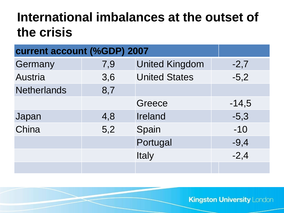### **International imbalances at the outset of the crisis**

| current account (%GDP) 2007 |     |                       |         |
|-----------------------------|-----|-----------------------|---------|
| Germany                     | 7,9 | <b>United Kingdom</b> | $-2,7$  |
| <b>Austria</b>              | 3,6 | <b>United States</b>  | $-5,2$  |
| <b>Netherlands</b>          | 8,7 |                       |         |
|                             |     | Greece                | $-14,5$ |
| Japan                       | 4,8 | <b>Ireland</b>        | $-5,3$  |
| China                       | 5,2 | Spain                 | $-10$   |
|                             |     | Portugal              | $-9,4$  |
|                             |     | Italy                 | $-2,4$  |
|                             |     |                       |         |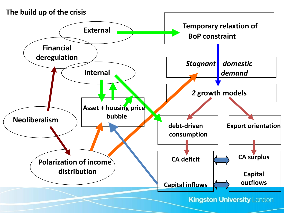#### **The build up of the crisis**

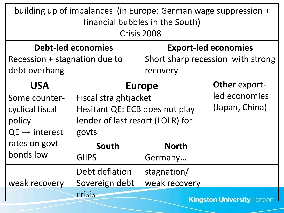| building up of imbalances (in Europe: German wage suppression +<br>financial bubbles in the South)<br><b>Crisis 2008-</b> |                                                                                                                       |                                                                  |                                                         |  |
|---------------------------------------------------------------------------------------------------------------------------|-----------------------------------------------------------------------------------------------------------------------|------------------------------------------------------------------|---------------------------------------------------------|--|
| <b>Debt-led economies</b><br>Recession + stagnation due to                                                                |                                                                                                                       | <b>Export-led economies</b><br>Short sharp recession with strong |                                                         |  |
| debt overhang                                                                                                             |                                                                                                                       |                                                                  | recovery                                                |  |
| <b>USA</b><br>Some counter-<br>cyclical fiscal<br>policy<br>$QE \rightarrow$ interest                                     | <b>Europe</b><br>Fiscal straightjacket<br>Hesitant QE: ECB does not play<br>lender of last resort (LOLR) for<br>govts |                                                                  | <b>Other export-</b><br>led economies<br>(Japan, China) |  |
| rates on govt                                                                                                             | South                                                                                                                 | <b>North</b>                                                     |                                                         |  |
| bonds low                                                                                                                 | <b>GIIPS</b>                                                                                                          | Germany                                                          |                                                         |  |
| weak recovery                                                                                                             | Debt deflation<br>Sovereign debt                                                                                      | stagnation/<br>weak recovery                                     |                                                         |  |
|                                                                                                                           | crisis                                                                                                                |                                                                  | <b>Kinaston University   ondon</b>                      |  |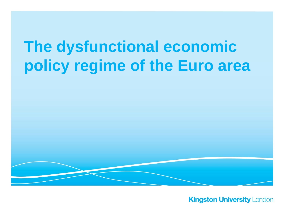# **The dysfunctional economic policy regime of the Euro area**

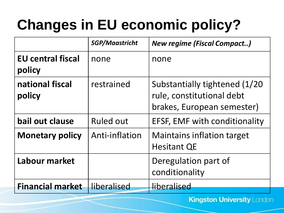# **Changes in EU economic policy?**

|                                    | <b>SGP/Maastricht</b> | <b>New regime (Fiscal Compact)</b>                                                        |
|------------------------------------|-----------------------|-------------------------------------------------------------------------------------------|
| <b>EU</b> central fiscal<br>policy | none                  | none                                                                                      |
| national fiscal<br>policy          | restrained            | Substantially tightened (1/20)<br>rule, constitutional debt<br>brakes, European semester) |
| bail out clause                    | <b>Ruled out</b>      | EFSF, EMF with conditionality                                                             |
| <b>Monetary policy</b>             | Anti-inflation        | <b>Maintains inflation target</b><br><b>Hesitant QE</b>                                   |
| Labour market                      |                       | Deregulation part of<br>conditionality                                                    |
| <b>Financial market</b>            | liberalised           | liberalised                                                                               |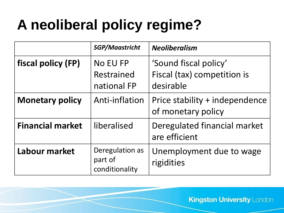# **A neoliberal policy regime?**

|                         | <b>SGP/Maastricht</b>                        | <b>Neoliberalism</b>                                              |
|-------------------------|----------------------------------------------|-------------------------------------------------------------------|
| fiscal policy (FP)      | <b>No EU FP</b><br>Restrained<br>national FP | 'Sound fiscal policy'<br>Fiscal (tax) competition is<br>desirable |
| <b>Monetary policy</b>  | Anti-inflation                               | Price stability + independence<br>of monetary policy              |
| <b>Financial market</b> | liberalised                                  | Deregulated financial market<br>are efficient                     |
| Labour market           | Deregulation as<br>part of<br>conditionality | Unemployment due to wage<br>rigidities                            |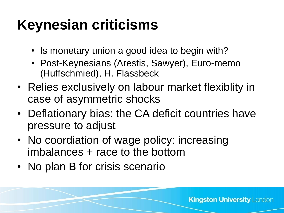# **Keynesian criticisms**

- Is monetary union a good idea to begin with?
- Post-Keynesians (Arestis, Sawyer), Euro-memo (Huffschmied), H. Flassbeck
- Relies exclusively on labour market flexiblity in case of asymmetric shocks
- Deflationary bias: the CA deficit countries have pressure to adjust
- No coordiation of wage policy: increasing imbalances + race to the bottom
- No plan B for crisis scenario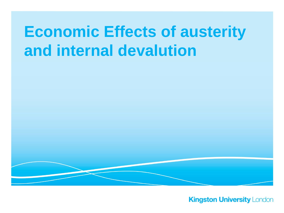# **Economic Effects of austerity and internal devalution**

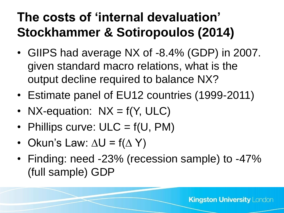## **The costs of 'internal devaluation' Stockhammer & Sotiropoulos (2014)**

- GIIPS had average NX of -8.4% (GDP) in 2007. given standard macro relations, what is the output decline required to balance NX?
- Estimate panel of EU12 countries (1999-2011)
- NX-equation:  $NX = f(Y, ULC)$
- Phillips curve:  $ULC = f(U, PM)$
- Okun's Law:  $\Delta U = f(\Delta Y)$
- Finding: need -23% (recession sample) to -47% (full sample) GDP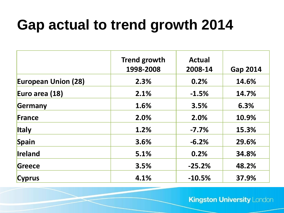# **Gap actual to trend growth 2014**

|                            | <b>Trend growth</b><br>1998-2008 | <b>Actual</b><br>2008-14 | <b>Gap 2014</b> |
|----------------------------|----------------------------------|--------------------------|-----------------|
| <b>European Union (28)</b> | 2.3%                             | 0.2%                     | 14.6%           |
| Euro area (18)             | 2.1%                             | $-1.5%$                  | 14.7%           |
| Germany                    | 1.6%                             | 3.5%                     | 6.3%            |
| France                     | 2.0%                             | 2.0%                     | 10.9%           |
| <b>Italy</b>               | 1.2%                             | $-7.7%$                  | 15.3%           |
| Spain                      | 3.6%                             | $-6.2%$                  | 29.6%           |
| Ireland                    | 5.1%                             | 0.2%                     | 34.8%           |
| Greece                     | 3.5%                             | $-25.2%$                 | 48.2%           |
| <b>Cyprus</b>              | 4.1%                             | $-10.5%$                 | 37.9%           |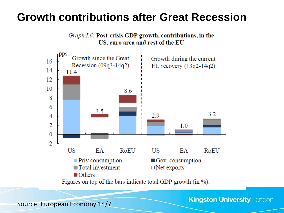#### **Growth contributions after Great Recession**





Source: European Economy 14/7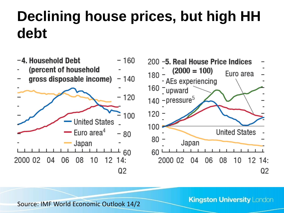# **Declining house prices, but high HH debt**

- -4. Household Debt - 160
- (percent of household
- gross disposable income)  $-140$





**Kingston University London** 

Source: IMF World Economic Outlook 14/2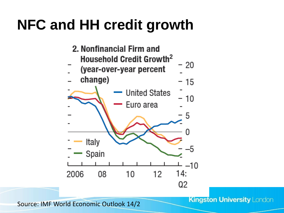# **NFC and HH credit growth**



**Kingston University London** 

Source: IMF World Economic Outlook 14/2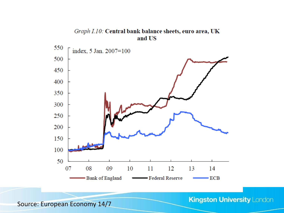#### Graph I.10: Central bank balance sheets, euro area, UK and US



**Kingston University London** 

Source: European Economy 14/7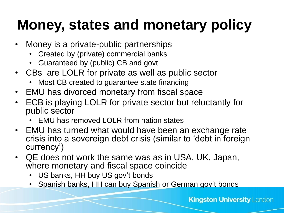# **Money, states and monetary policy**

- Money is a private-public partnerships
	- Created by (private) commercial banks
	- Guaranteed by (public) CB and govt
- CBs are LOLR for private as well as public sector
	- Most CB created to guarantee state financing
- EMU has divorced monetary from fiscal space
- ECB is playing LOLR for private sector but reluctantly for public sector
	- EMU has removed LOLR from nation states
- EMU has turned what would have been an exchange rate crisis into a sovereign debt crisis (similar to 'debt in foreign currency')
- QE does not work the same was as in USA, UK, Japan, where monetary and fiscal space coincide
	- US banks, HH buy US gov't bonds
	- Spanish banks, HH can buy Spanish or German gov't bonds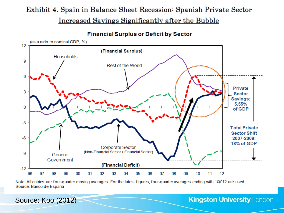#### Exhibit 4. Spain in Balance Sheet Recession: Spanish Private Sector

<u>Increased Savings Significantly after the Bubble</u>

**Financial Surplus or Deficit by Sector** 



Note: All entries are four-quarter moving averages. For the latest figures, four-quarter averages ending with 1Q/'12 are used. Source: Banco de España

Source: Koo (2012)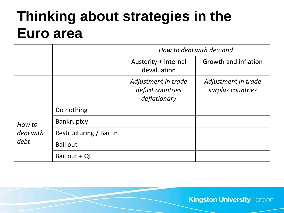## **Thinking about strategies in the Euro area**

|           |                         | How to deal with demand                                  |                                          |
|-----------|-------------------------|----------------------------------------------------------|------------------------------------------|
|           |                         | Austerity + internal<br>devaluation                      | Growth and inflation                     |
|           |                         | Adjustment in trade<br>deficit countries<br>deflationary | Adjustment in trade<br>surplus countries |
|           | Do nothing              |                                                          |                                          |
| How to    | Bankruptcy              |                                                          |                                          |
| deal with | Restructuring / Bail in |                                                          |                                          |
| debt      | Bail out                |                                                          |                                          |
|           | Bail out + QE           |                                                          |                                          |